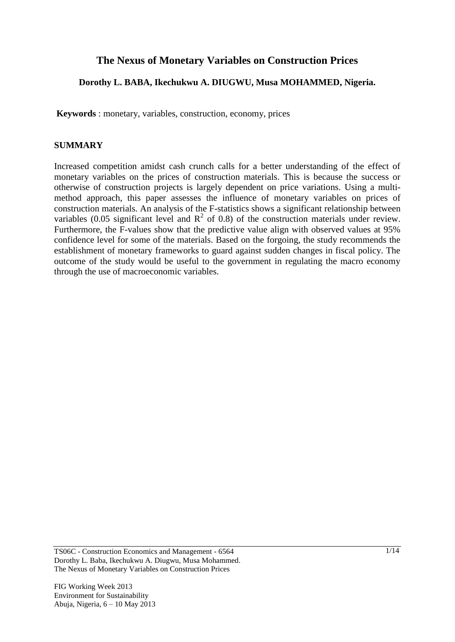# **The Nexus of Monetary Variables on Construction Prices**

## **Dorothy L. BABA, Ikechukwu A. DIUGWU, Musa MOHAMMED, Nigeria.**

**Keywords** : monetary, variables, construction, economy, prices

## **SUMMARY**

Increased competition amidst cash crunch calls for a better understanding of the effect of monetary variables on the prices of construction materials. This is because the success or otherwise of construction projects is largely dependent on price variations. Using a multimethod approach, this paper assesses the influence of monetary variables on prices of construction materials. An analysis of the F-statistics shows a significant relationship between variables (0.05 significant level and  $R^2$  of 0.8) of the construction materials under review. Furthermore, the F-values show that the predictive value align with observed values at 95% confidence level for some of the materials. Based on the forgoing, the study recommends the establishment of monetary frameworks to guard against sudden changes in fiscal policy. The outcome of the study would be useful to the government in regulating the macro economy through the use of macroeconomic variables.

TS06C - Construction Economics and Management - 6564 Dorothy L. Baba, Ikechukwu A. Diugwu, Musa Mohammed. The Nexus of Monetary Variables on Construction Prices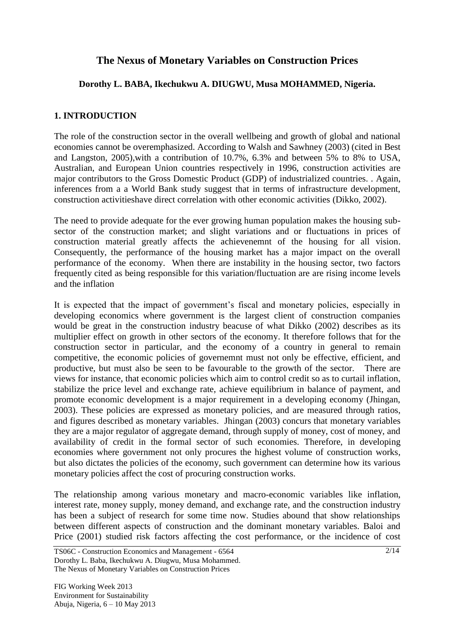# **The Nexus of Monetary Variables on Construction Prices**

## **Dorothy L. BABA, Ikechukwu A. DIUGWU, Musa MOHAMMED, Nigeria.**

## **1. INTRODUCTION**

The role of the construction sector in the overall wellbeing and growth of global and national economies cannot be overemphasized. According to Walsh and Sawhney (2003) (cited in Best and Langston, 2005),with a contribution of 10.7%, 6.3% and between 5% to 8% to USA, Australian, and European Union countries respectively in 1996, construction activities are major contributors to the Gross Domestic Product (GDP) of industrialized countries. . Again, inferences from a a World Bank study suggest that in terms of infrastructure development, construction activitieshave direct correlation with other economic activities (Dikko, 2002).

The need to provide adequate for the ever growing human population makes the housing subsector of the construction market; and slight variations and or fluctuations in prices of construction material greatly affects the achievenemnt of the housing for all vision. Consequently, the performance of the housing market has a major impact on the overall performance of the economy. When there are instability in the housing sector, two factors frequently cited as being responsible for this variation/fluctuation are are rising income levels and the inflation

It is expected that the impact of government's fiscal and monetary policies, especially in developing economics where government is the largest client of construction companies would be great in the construction industry beacuse of what Dikko (2002) describes as its multiplier effect on growth in other sectors of the economy. It therefore follows that for the construction sector in particular, and the economy of a country in general to remain competitive, the economic policies of governemnt must not only be effective, efficient, and productive, but must also be seen to be favourable to the growth of the sector. There are views for instance, that economic policies which aim to control credit so as to curtail inflation, stabilize the price level and exchange rate, achieve equilibrium in balance of payment, and promote economic development is a major requirement in a developing economy (Jhingan, 2003). These policies are expressed as monetary policies, and are measured through ratios, and figures described as monetary variables. Jhingan (2003) concurs that monetary variables they are a major regulator of aggregate demand, through supply of money, cost of money, and availability of credit in the formal sector of such economies. Therefore, in developing economies where government not only procures the highest volume of construction works, but also dictates the policies of the economy, such government can determine how its various monetary policies affect the cost of procuring construction works.

The relationship among various monetary and macro-economic variables like inflation, interest rate, money supply, money demand, and exchange rate, and the construction industry has been a subject of research for some time now. Studies abound that show relationships between different aspects of construction and the dominant monetary variables. Baloi and Price (2001) studied risk factors affecting the cost performance, or the incidence of cost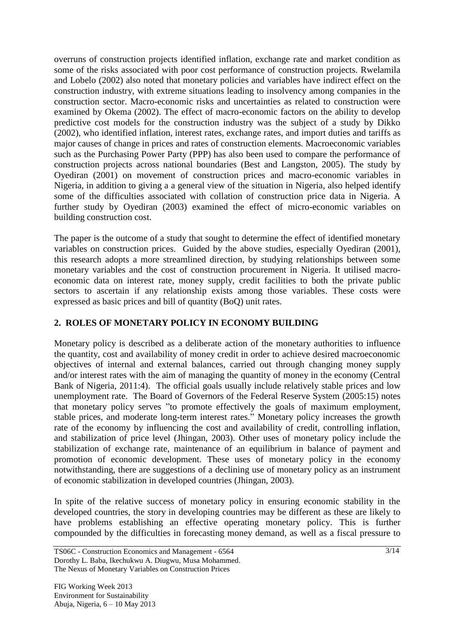overruns of construction projects identified inflation, exchange rate and market condition as some of the risks associated with poor cost performance of construction projects. Rwelamila and Lobelo (2002) also noted that monetary policies and variables have indirect effect on the construction industry, with extreme situations leading to insolvency among companies in the construction sector. Macro-economic risks and uncertainties as related to construction were examined by Okema (2002). The effect of macro-economic factors on the ability to develop predictive cost models for the construction industry was the subject of a study by Dikko (2002), who identified inflation, interest rates, exchange rates, and import duties and tariffs as major causes of change in prices and rates of construction elements. Macroeconomic variables such as the Purchasing Power Party (PPP) has also been used to compare the performance of construction projects across national boundaries (Best and Langston, 2005). The study by Oyediran (2001) on movement of construction prices and macro-economic variables in Nigeria, in addition to giving a a general view of the situation in Nigeria, also helped identify some of the difficulties associated with collation of construction price data in Nigeria. A further study by Oyediran (2003) examined the effect of micro-economic variables on building construction cost.

The paper is the outcome of a study that sought to determine the effect of identified monetary variables on construction prices. Guided by the above studies, especially Oyediran (2001), this research adopts a more streamlined direction, by studying relationships between some monetary variables and the cost of construction procurement in Nigeria. It utilised macroeconomic data on interest rate, money supply, credit facilities to both the private public sectors to ascertain if any relationship exists among those variables. These costs were expressed as basic prices and bill of quantity (BoQ) unit rates.

# **2. ROLES OF MONETARY POLICY IN ECONOMY BUILDING**

Monetary policy is described as a deliberate action of the monetary authorities to influence the quantity, cost and availability of money credit in order to achieve desired macroeconomic objectives of internal and external balances, carried out through changing money supply and/or interest rates with the aim of managing the quantity of money in the economy (Central Bank of Nigeria, 2011:4). The official goals usually include relatively stable prices and low [unemployment](http://en.wikipedia.org/wiki/Unemployment) rate. The Board of Governors of the Federal Reserve System (2005:15) notes that monetary policy serves "to promote effectively the goals of maximum employment, stable prices, and moderate long-term interest rates." Monetary policy increases the growth rate of the economy by influencing the cost and availability of credit, controlling inflation, and stabilization of price level (Jhingan, 2003). Other uses of monetary policy include the stabilization of exchange rate, maintenance of an equilibrium in balance of payment and promotion of economic development. These uses of monetary policy in the economy notwithstanding, there are suggestions of a declining use of monetary policy as an instrument of economic stabilization in developed countries (Jhingan, 2003).

In spite of the relative success of monetary policy in ensuring economic stability in the developed countries, the story in developing countries may be different as these are likely to have problems establishing an effective operating monetary policy. This is further compounded by the difficulties in forecasting money demand, as well as a fiscal pressure to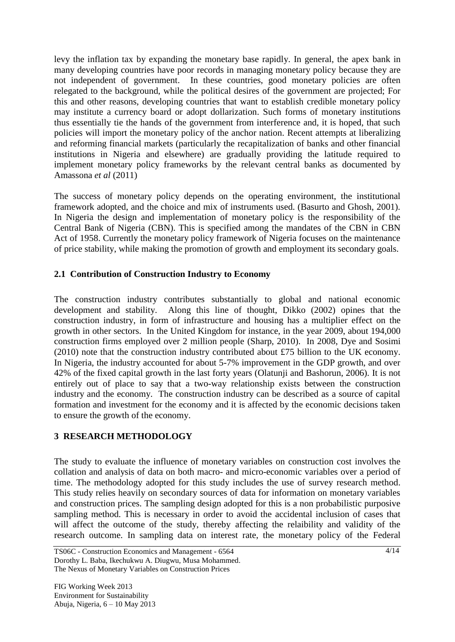levy the [inflation](http://en.wikipedia.org/wiki/Inflation) tax by expanding the monetary base rapidly. In general, the apex bank in many developing countries have poor records in managing monetary policy because they are not independent of government. In these countries, good monetary policies are often relegated to the background, while the political desires of the government are projected; For this and other reasons, developing countries that want to establish credible monetary policy may institute a currency board or adopt [dollarization.](http://en.wikipedia.org/wiki/Dollarization) Such forms of monetary institutions thus essentially tie the hands of the government from interference and, it is hoped, that such policies will import the monetary policy of the anchor nation. Recent attempts at liberalizing and reforming financial markets (particularly the recapitalization of banks and other financial institutions in [Nigeria](http://en.wikipedia.org/wiki/Nigeria) and elsewhere) are gradually providing the latitude required to implement monetary policy frameworks by the relevant central banks as documented by Amassona *et al* (2011)

The success of monetary policy depends on the operating environment, the institutional framework adopted, and the choice and mix of instruments used. (Basurto and Ghosh, 2001). In Nigeria the design and implementation of monetary policy is the responsibility of the Central Bank of Nigeria (CBN). This is specified among the mandates of the CBN in CBN Act of 1958. Currently the monetary policy framework of Nigeria focuses on the maintenance of price stability, while making the promotion of growth and employment its secondary goals.

## **2.1 Contribution of Construction Industry to Economy**

The construction industry contributes substantially to global and national economic development and stability. Along this line of thought, Dikko (2002) opines that the construction industry, in form of infrastructure and housing has a multiplier effect on the growth in other sectors. In the United Kingdom for instance, in the year 2009, about 194,000 construction firms employed over 2 million people (Sharp, 2010). In 2008, Dye and Sosimi (2010) note that the construction industry contributed about £75 billion to the UK economy. In Nigeria, the industry accounted for about 5-7% improvement in the GDP growth, and over 42% of the fixed capital growth in the last forty years (Olatunji and Bashorun, 2006). It is not entirely out of place to say that a two-way relationship exists between the construction industry and the economy. The construction industry can be described as a source of capital formation and investment for the economy and it is affected by the economic decisions taken to ensure the growth of the economy.

## **3 RESEARCH METHODOLOGY**

The study to evaluate the influence of monetary variables on construction cost involves the collation and analysis of data on both macro- and micro-economic variables over a period of time. The methodology adopted for this study includes the use of survey research method. This study relies heavily on secondary sources of data for information on monetary variables and construction prices. The sampling design adopted for this is a non probabilistic purposive sampling method. This is necessary in order to avoid the accidental inclusion of cases that will affect the outcome of the study, thereby affecting the relaibility and validity of the research outcome. In sampling data on interest rate, the monetary policy of the Federal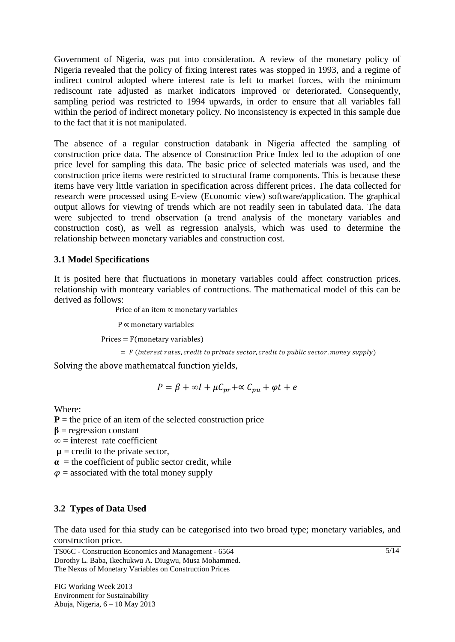Government of Nigeria, was put into consideration. A review of the monetary policy of Nigeria revealed that the policy of fixing interest rates was stopped in 1993, and a regime of indirect control adopted where interest rate is left to market forces, with the minimum rediscount rate adjusted as market indicators improved or deteriorated. Consequently, sampling period was restricted to 1994 upwards, in order to ensure that all variables fall within the period of indirect monetary policy. No inconsistency is expected in this sample due to the fact that it is not manipulated.

The absence of a regular construction databank in Nigeria affected the sampling of construction price data. The absence of Construction Price Index led to the adoption of one price level for sampling this data. The basic price of selected materials was used, and the construction price items were restricted to structural frame components. This is because these items have very little variation in specification across different prices. The data collected for research were processed using E-view (Economic view) software/application. The graphical output allows for viewing of trends which are not readily seen in tabulated data. The data were subjected to trend observation (a trend analysis of the monetary variables and construction cost), as well as regression analysis, which was used to determine the relationship between monetary variables and construction cost.

### **3.1 Model Specifications**

It is posited here that fluctuations in monetary variables could affect construction prices. relationship with monteary variables of contructions. The mathematical model of this can be derived as follows:

Price of an item  $\propto$  monetary variables

 $P \propto$  monetary variables

 $\text{Prices} = \text{F}(\text{monetary variables})$ 

 $=$  F (interest rates, credit to private sector, credit to public sector, money supply)

Solving the above mathematcal function yields,

 $P = \beta + \infty I + \mu C_{nr} + \infty C_{nu} + \varphi t + e$ 

Where:

 $P =$  the price of an item of the selected construction price

 $\beta$  = regression constant

**∞** = **i**nterest rate coefficient

 $\mu$  = credit to the private sector,

 $\alpha$  = the coefficient of public sector credit, while

 $\varphi$  = associated with the total money supply

## **3.2 Types of Data Used**

The data used for thia study can be categorised into two broad type; monetary variables, and construction price.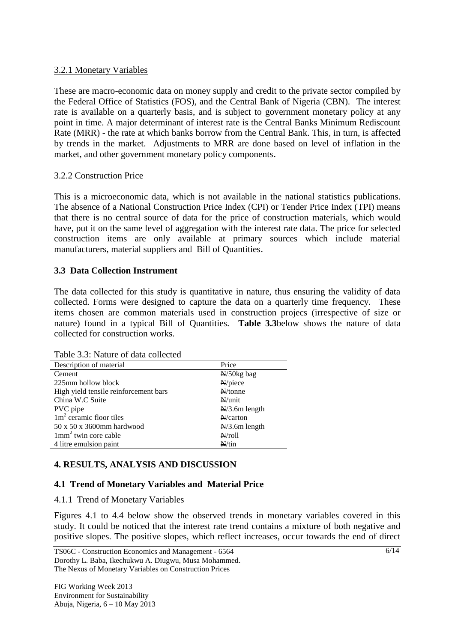### 3.2.1 Monetary Variables

These are macro-economic data on money supply and credit to the private sector compiled by the Federal Office of Statistics (FOS), and the Central Bank of Nigeria (CBN). The interest rate is available on a quarterly basis, and is subject to government monetary policy at any point in time. A major determinant of interest rate is the Central Banks Minimum Rediscount Rate (MRR) - the rate at which banks borrow from the Central Bank. This, in turn, is affected by trends in the market. Adjustments to MRR are done based on level of inflation in the market, and other government monetary policy components.

#### 3.2.2 Construction Price

This is a microeconomic data, which is not available in the national statistics publications. The absence of a National Construction Price Index (CPI) or Tender Price Index (TPI) means that there is no central source of data for the price of construction materials, which would have, put it on the same level of aggregation with the interest rate data. The price for selected construction items are only available at primary sources which include material manufacturers, material suppliers and Bill of Quantities.

### **3.3 Data Collection Instrument**

The data collected for this study is quantitative in nature, thus ensuring the validity of data collected. Forms were designed to capture the data on a quarterly time frequency. These items chosen are common materials used in construction projecs (irrespective of size or nature) found in a typical Bill of Quantities. **Table 3.3**below shows the nature of data collected for construction works.

| Table 5.5. Nature of data conected    |                          |
|---------------------------------------|--------------------------|
| Description of material               | Price                    |
| Cement                                | $N/50$ kg bag            |
| 225mm hollow block                    | N/piece                  |
| High yield tensile reinforcement bars | $\frac{N}{100}$          |
| China W.C Suite                       | $N/$ unit                |
| PVC pipe                              | $N/3.6m$ length          |
| $1m2$ ceramic floor tiles             | $N/c$ arton              |
| 50 x 50 x 3600mm hardwood             | $\frac{N}{3}$ .6m length |
| $1$ mm <sup>2</sup> twin core cable   | $N$ roll                 |
| 4 litre emulsion paint                | $N/t$ in                 |
|                                       |                          |

Table 3.3: Nature of data collected

### **4. RESULTS, ANALYSIS AND DISCUSSION**

### **4.1 Trend of Monetary Variables and Material Price**

#### 4.1.1 Trend of Monetary Variables

Figures 4.1 to 4.4 below show the observed trends in monetary variables covered in this study. It could be noticed that the interest rate trend contains a mixture of both negative and positive slopes. The positive slopes, which reflect increases, occur towards the end of direct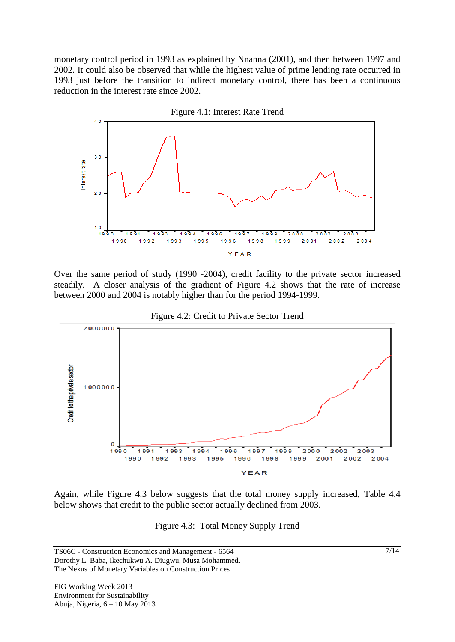monetary control period in 1993 as explained by Nnanna (2001), and then between 1997 and 2002. It could also be observed that while the highest value of prime lending rate occurred in 1993 just before the transition to indirect monetary control, there has been a continuous reduction in the interest rate since 2002.



Over the same period of study (1990 -2004), credit facility to the private sector increased steadily. A closer analysis of the gradient of Figure 4.2 shows that the rate of increase between 2000 and 2004 is notably higher than for the period 1994-1999.





Again, while Figure 4.3 below suggests that the total money supply increased, Table 4.4 below shows that credit to the public sector actually declined from 2003.

Figure 4.3: Total Money Supply Trend

TS06C - Construction Economics and Management - 6564 Dorothy L. Baba, Ikechukwu A. Diugwu, Musa Mohammed. The Nexus of Monetary Variables on Construction Prices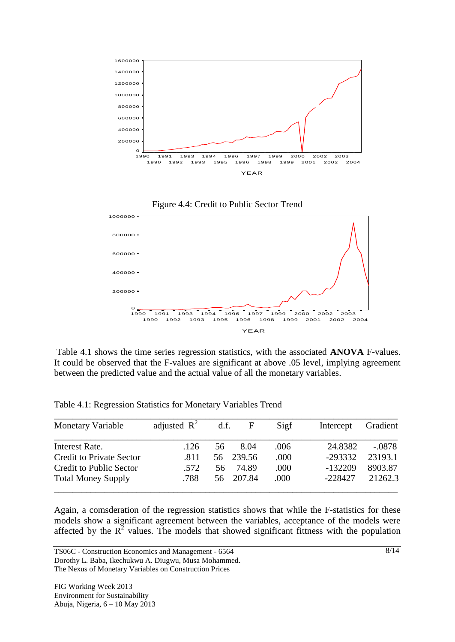





Table 4.1 shows the time series regression statistics, with the associated **ANOVA** F-values. It could be observed that the F-values are significant at above .05 level, implying agreement between the predicted value and the actual value of all the monetary variables.

| <b>Monetary Variable</b>        | adjusted $\mathbb{R}^2$ | d.f. | $\mathbf{F}$ | Sigf | Intercept | Gradient |
|---------------------------------|-------------------------|------|--------------|------|-----------|----------|
| Interest Rate.                  | .126                    | 56   | 8.04         | .006 | 24.8382   | $-.0878$ |
| <b>Credit to Private Sector</b> | .811                    | 56 - | 239.56       | .000 | $-293332$ | 23193.1  |
| <b>Credit to Public Sector</b>  | .572                    | 56   | 74.89        | .000 | $-132209$ | 8903.87  |
| <b>Total Money Supply</b>       | .788                    | 56.  | 207.84       | .000 | $-228427$ | 21262.3  |

Table 4.1: Regression Statistics for Monetary Variables Trend

Again, a comsderation of the regression statistics shows that while the F-statistics for these models show a significant agreement between the variables, acceptance of the models were affected by the  $R^2$  values. The models that showed significant fittness with the population

TS06C - Construction Economics and Management - 6564 Dorothy L. Baba, Ikechukwu A. Diugwu, Musa Mohammed. The Nexus of Monetary Variables on Construction Prices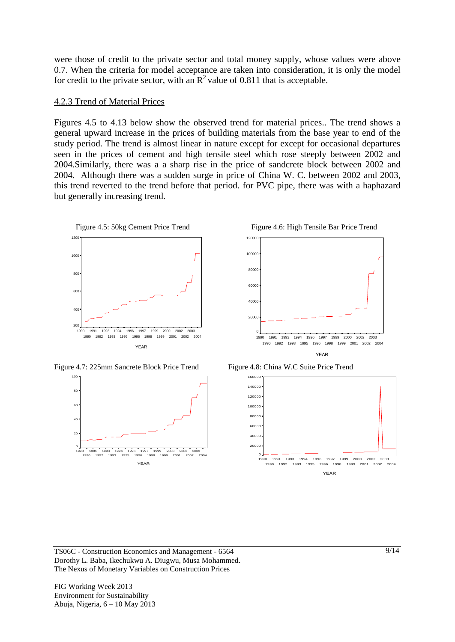were those of credit to the private sector and total money supply, whose values were above 0.7. When the criteria for model acceptance are taken into consideration, it is only the model for credit to the private sector, with an  $\mathbb{R}^2$  value of 0.811 that is acceptable.

#### 4.2.3 Trend of Material Prices

Figures 4.5 to 4.13 below show the observed trend for material prices.. The trend shows a general upward increase in the prices of building materials from the base year to end of the study period. The trend is almost linear in nature except for except for occasional departures seen in the prices of cement and high tensile steel which rose steeply between 2002 and 2004.Similarly, there was a a sharp rise in the price of sandcrete block between 2002 and 2004. Although there was a sudden surge in price of China W. C. between 2002 and 2003, this trend reverted to the trend before that period. for PVC pipe, there was with a haphazard but generally increasing trend.



Figure 4.7: 225mm Sancrete Block Price Trend Figure 4.8: China W.C Suite Price Trend









TS06C - Construction Economics and Management - 6564 Dorothy L. Baba, Ikechukwu A. Diugwu, Musa Mohammed. The Nexus of Monetary Variables on Construction Prices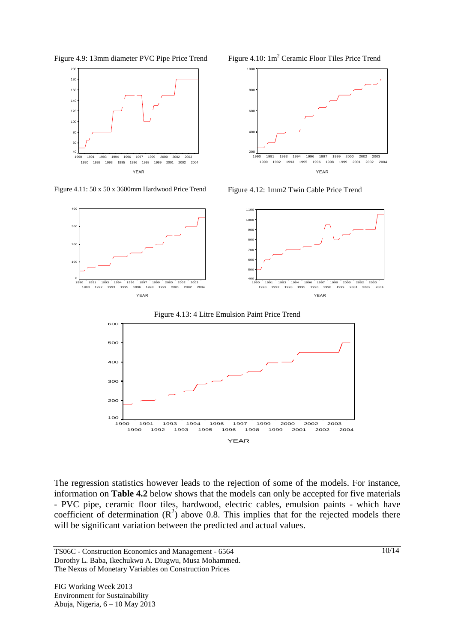













The regression statistics however leads to the rejection of some of the models. For instance, information on **Table 4.2** below shows that the models can only be accepted for five materials - PVC pipe, ceramic floor tiles, hardwood, electric cables, emulsion paints - which have coefficient of determination  $(R^2)$  above 0.8. This implies that for the rejected models there will be significant variation between the predicted and actual values.

TS06C - Construction Economics and Management - 6564 Dorothy L. Baba, Ikechukwu A. Diugwu, Musa Mohammed. The Nexus of Monetary Variables on Construction Prices

10/14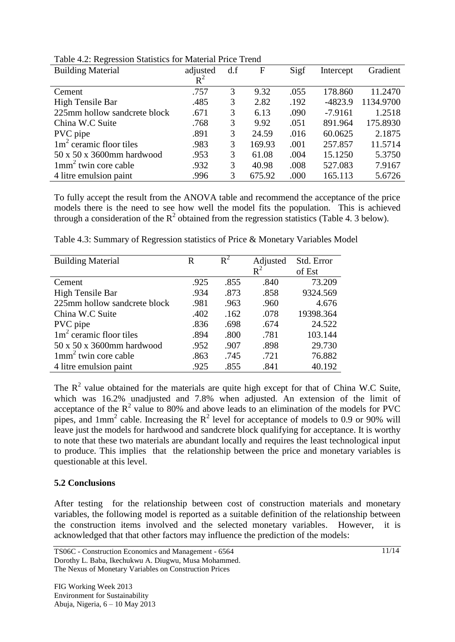| <b>Building Material</b>     | adjusted | d.f | F      | Sigf | Intercept | Gradient  |
|------------------------------|----------|-----|--------|------|-----------|-----------|
|                              | $R^2$    |     |        |      |           |           |
| Cement                       | .757     | 3   | 9.32   | .055 | 178.860   | 11.2470   |
| High Tensile Bar             | .485     | 3   | 2.82   | .192 | $-4823.9$ | 1134.9700 |
| 225mm hollow sandcrete block | .671     | 3   | 6.13   | .090 | $-7.9161$ | 1.2518    |
| China W.C Suite              | .768     | 3   | 9.92   | .051 | 891.964   | 175.8930  |
| PVC pipe                     | .891     | 3   | 24.59  | .016 | 60.0625   | 2.1875    |
| $1m2$ ceramic floor tiles    | .983     | 3   | 169.93 | .001 | 257.857   | 11.5714   |
| 50 x 50 x 3600mm hardwood    | .953     | 3   | 61.08  | .004 | 15.1250   | 5.3750    |
| $1mm2$ twin core cable       | .932     | 3   | 40.98  | .008 | 527.083   | 7.9167    |
| 4 litre emulsion paint       | .996     | 3   | 675.92 | .000 | 165.113   | 5.6726    |

Table 4.2: Regression Statistics for Material Price Trend

To fully accept the result from the ANOVA table and recommend the acceptance of the price models there is the need to see how well the model fits the population. This is achieved through a consideration of the  $R^2$  obtained from the regression statistics (Table 4. 3 below).

| <b>Building Material</b>     | R    | $R^2$ | Adjusted       | Std. Error |
|------------------------------|------|-------|----------------|------------|
|                              |      |       | $\mathsf{R}^2$ | of Est     |
| Cement                       | .925 | .855  | .840           | 73.209     |
| High Tensile Bar             | .934 | .873  | .858           | 9324.569   |
| 225mm hollow sandcrete block | .981 | .963  | .960           | 4.676      |
| China W.C Suite              | .402 | .162  | .078           | 19398.364  |
| PVC pipe                     | .836 | .698  | .674           | 24.522     |
| $1m2$ ceramic floor tiles    | .894 | .800  | .781           | 103.144    |
| 50 x 50 x 3600mm hardwood    | .952 | .907  | .898           | 29.730     |
| $1mm2$ twin core cable       | .863 | .745  | .721           | 76.882     |
| 4 litre emulsion paint       | .925 | .855  | .841           | 40.192     |

Table 4.3: Summary of Regression statistics of Price & Monetary Variables Model

The  $R<sup>2</sup>$  value obtained for the materials are quite high except for that of China W.C Suite, which was 16.2% unadjusted and 7.8% when adjusted. An extension of the limit of acceptance of the  $R^2$  value to 80% and above leads to an elimination of the models for PVC pipes, and  $1mm^2$  cable. Increasing the  $R^2$  level for acceptance of models to 0.9 or 90% will leave just the models for hardwood and sandcrete block qualifying for acceptance. It is worthy to note that these two materials are abundant locally and requires the least technological input to produce. This implies that the relationship between the price and monetary variables is questionable at this level.

### **5.2 Conclusions**

After testing for the relationship between cost of construction materials and monetary variables, the following model is reported as a suitable definition of the relationship between the construction items involved and the selected monetary variables. However, it is acknowledged that that other factors may influence the prediction of the models: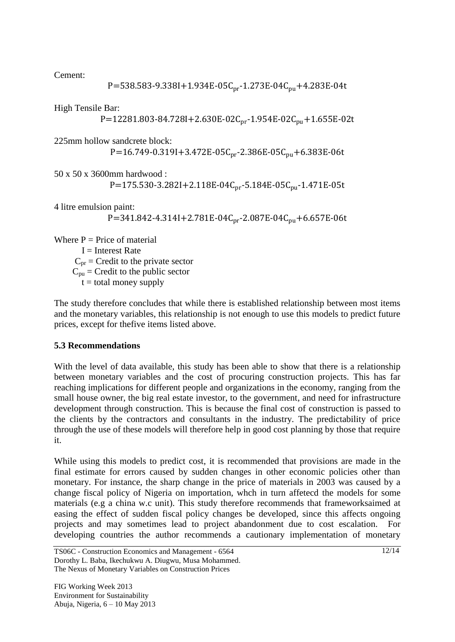Cement:

P=538.583-9.338I+1.934E-05C<sub>pr</sub>-1.273E-04C<sub>pu</sub>+4.283E-04t

High Tensile Bar:

P=12281.803-84.728I+2.630E-02C<sub>pr</sub>-1.954E-02C<sub>pu</sub>+1.655E-02t

225mm hollow sandcrete block:

P=16.749-0.319I+3.472E-05C<sub>pr</sub>-2.386E-05C<sub>pu</sub>+6.383E-06t

50 x 50 x 3600mm hardwood : P=175.530-3.282I+2.118E-04C<sub>pr</sub>-5.184E-05C<sub>pu</sub>-1.471E-05t

4 litre emulsion paint: P=341.842-4.314I+2.781E-04C<sub>pr</sub>-2.087E-04C<sub>pu</sub>+6.657E-06t

Where  $P = Price$  of material  $I =$ Interest Rate  $C_{\text{pr}}$  = Credit to the private sector  $C_{\text{pu}}$  = Credit to the public sector  $t =$  total money supply

The study therefore concludes that while there is established relationship between most items and the monetary variables, this relationship is not enough to use this models to predict future prices, except for thefive items listed above.

### **5.3 Recommendations**

With the level of data available, this study has been able to show that there is a relationship between monetary variables and the cost of procuring construction projects. This has far reaching implications for different people and organizations in the economy, ranging from the small house owner, the big real estate investor, to the government, and need for infrastructure development through construction. This is because the final cost of construction is passed to the clients by the contractors and consultants in the industry. The predictability of price through the use of these models will therefore help in good cost planning by those that require it.

While using this models to predict cost, it is recommended that provisions are made in the final estimate for errors caused by sudden changes in other economic policies other than monetary. For instance, the sharp change in the price of materials in 2003 was caused by a change fiscal policy of Nigeria on importation, whch in turn affetecd the models for some materials (e.g a china w.c unit). This study therefore recommends that frameworksaimed at easing the effect of sudden fiscal policy changes be developed, since this affects ongoing projects and may sometimes lead to project abandonment due to cost escalation. developing countries the author recommends a cautionary implementation of monetary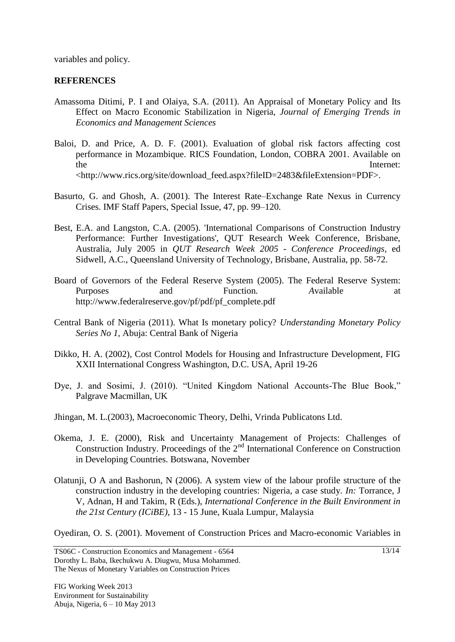variables and policy.

## **REFERENCES**

- Amassoma Ditimi, P. I and Olaiya, S.A. (2011). An Appraisal of Monetary Policy and Its Effect on Macro Economic Stabilization in Nigeria, *Journal of Emerging Trends in Economics and Management Sciences*
- Baloi, D. and Price, A. D. F. (2001). Evaluation of global risk factors affecting cost performance in Mozambique. RICS Foundation, London, COBRA 2001. Available on the Internet: <http://www.rics.org/site/download\_feed.aspx?fileID=2483&fileExtension=PDF>.
- Basurto, G. and Ghosh, A. (2001). The Interest Rate–Exchange Rate Nexus in Currency Crises. IMF Staff Papers, Special Issue, 47, pp. 99–120.
- Best, E.A. and Langston, C.A. (2005). 'International Comparisons of Construction Industry Performance: Further Investigations', QUT Research Week Conference, Brisbane, Australia, July 2005 in *QUT Research Week 2005 - Conference Proceedings*, ed Sidwell, A.C., Queensland University of Technology, Brisbane, Australia, pp. 58-72.
- Board of Governors of the Federal Reserve System (2005). The Federal Reserve System: Purposes and Function. Available at http://www.federalreserve.gov/pf/pdf/pf\_complete.pdf
- Central Bank of Nigeria (2011). What Is monetary policy? *Understanding Monetary Policy Series No 1*, Abuja: Central Bank of Nigeria
- Dikko, H. A. (2002), Cost Control Models for Housing and Infrastructure Development, FIG XXII International Congress Washington, D.C. USA, April 19-26
- Dye, J. and Sosimi, J. (2010). "United Kingdom National Accounts-The Blue Book," Palgrave Macmillan, UK
- Jhingan, M. L.(2003), Macroeconomic Theory, Delhi, Vrinda Publicatons Ltd.
- Okema, J. E. (2000), Risk and Uncertainty Management of Projects: Challenges of Construction Industry. Proceedings of the  $2<sup>nd</sup>$  International Conference on Construction in Developing Countries. Botswana, November
- Olatunji, O A and Bashorun, N (2006). A system view of the labour profile structure of the construction industry in the developing countries: Nigeria, a case study. *In:* Torrance, J V, Adnan, H and Takim, R (Eds.), *International Conference in the Built Environment in the 21st Century (ICiBE)*, 13 - 15 June, Kuala Lumpur, Malaysia

Oyediran, O. S. (2001). Movement of Construction Prices and Macro-economic Variables in